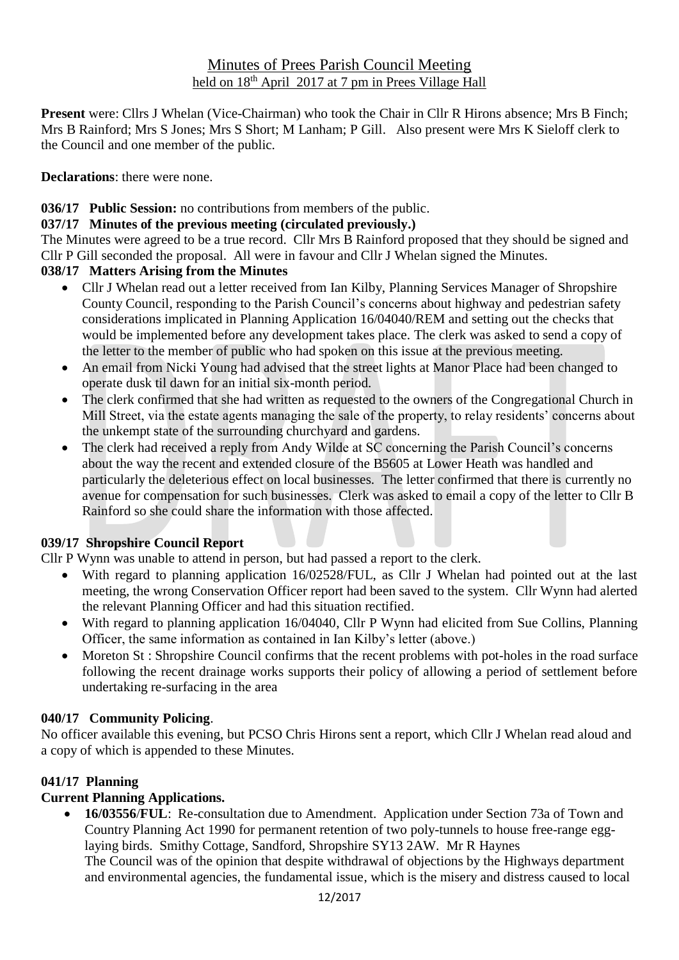## Minutes of Prees Parish Council Meeting held on  $18<sup>th</sup>$  April 2017 at 7 pm in Prees Village Hall

**Present** were: Cllrs J Whelan (Vice-Chairman) who took the Chair in Cllr R Hirons absence; Mrs B Finch; Mrs B Rainford; Mrs S Jones; Mrs S Short; M Lanham; P Gill. Also present were Mrs K Sieloff clerk to the Council and one member of the public.

**Declarations**: there were none.

## **036/17 Public Session:** no contributions from members of the public.

#### **037/17 Minutes of the previous meeting (circulated previously.)**

The Minutes were agreed to be a true record. Cllr Mrs B Rainford proposed that they should be signed and Cllr P Gill seconded the proposal. All were in favour and Cllr J Whelan signed the Minutes.

#### **038/17 Matters Arising from the Minutes**

- Cllr J Whelan read out a letter received from Ian Kilby, Planning Services Manager of Shropshire County Council, responding to the Parish Council's concerns about highway and pedestrian safety considerations implicated in Planning Application 16/04040/REM and setting out the checks that would be implemented before any development takes place. The clerk was asked to send a copy of the letter to the member of public who had spoken on this issue at the previous meeting.
- An email from Nicki Young had advised that the street lights at Manor Place had been changed to operate dusk til dawn for an initial six-month period.
- The clerk confirmed that she had written as requested to the owners of the Congregational Church in Mill Street, via the estate agents managing the sale of the property, to relay residents' concerns about the unkempt state of the surrounding churchyard and gardens.
- The clerk had received a reply from Andy Wilde at SC concerning the Parish Council's concerns about the way the recent and extended closure of the B5605 at Lower Heath was handled and particularly the deleterious effect on local businesses. The letter confirmed that there is currently no avenue for compensation for such businesses. Clerk was asked to email a copy of the letter to Cllr B Rainford so she could share the information with those affected.

## **039/17 Shropshire Council Report**

Cllr P Wynn was unable to attend in person, but had passed a report to the clerk.

- With regard to planning application 16/02528/FUL, as Cllr J Whelan had pointed out at the last meeting, the wrong Conservation Officer report had been saved to the system. Cllr Wynn had alerted the relevant Planning Officer and had this situation rectified.
- With regard to planning application 16/04040, Cllr P Wynn had elicited from Sue Collins, Planning Officer, the same information as contained in Ian Kilby's letter (above.)
- Moreton St : Shropshire Council confirms that the recent problems with pot-holes in the road surface following the recent drainage works supports their policy of allowing a period of settlement before undertaking re-surfacing in the area

#### **040/17 Community Policing**.

No officer available this evening, but PCSO Chris Hirons sent a report, which Cllr J Whelan read aloud and a copy of which is appended to these Minutes.

#### **041/17 Planning**

## **Current Planning Applications.**

• **16/03556**/**FUL**: Re-consultation due to Amendment. Application under Section 73a of Town and Country Planning Act 1990 for permanent retention of two poly-tunnels to house free-range egglaying birds. Smithy Cottage, Sandford, Shropshire SY13 2AW. Mr R Haynes The Council was of the opinion that despite withdrawal of objections by the Highways department and environmental agencies, the fundamental issue, which is the misery and distress caused to local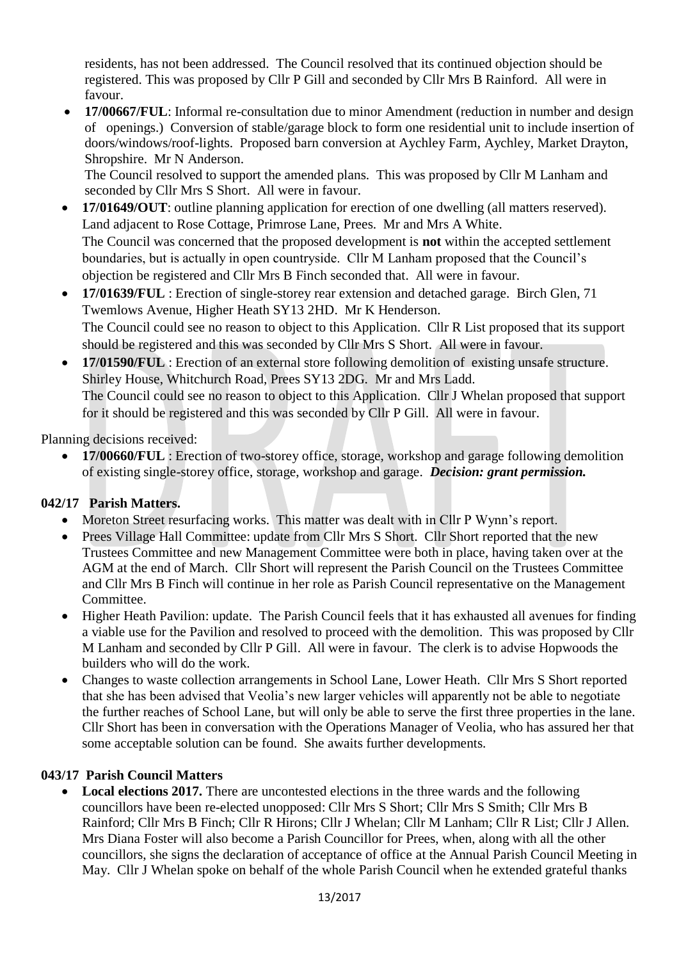residents, has not been addressed. The Council resolved that its continued objection should be registered. This was proposed by Cllr P Gill and seconded by Cllr Mrs B Rainford. All were in favour.

• **17/00667/FUL**: Informal re-consultation due to minor Amendment (reduction in number and design of openings.) Conversion of stable/garage block to form one residential unit to include insertion of doors/windows/roof-lights. Proposed barn conversion at Aychley Farm, Aychley, Market Drayton, Shropshire. Mr N Anderson.

The Council resolved to support the amended plans. This was proposed by Cllr M Lanham and seconded by Cllr Mrs S Short. All were in favour.

- **17/01649/OUT**: outline planning application for erection of one dwelling (all matters reserved). Land adjacent to Rose Cottage, Primrose Lane, Prees. Mr and Mrs A White. The Council was concerned that the proposed development is **not** within the accepted settlement boundaries, but is actually in open countryside. Cllr M Lanham proposed that the Council's objection be registered and Cllr Mrs B Finch seconded that. All were in favour.
- **17/01639/FUL** : Erection of single-storey rear extension and detached garage. Birch Glen, 71 Twemlows Avenue, Higher Heath SY13 2HD. Mr K Henderson. The Council could see no reason to object to this Application. Cllr R List proposed that its support should be registered and this was seconded by Cllr Mrs S Short. All were in favour.
- **17/01590/FUL** : Erection of an external store following demolition of existing unsafe structure. Shirley House, Whitchurch Road, Prees SY13 2DG. Mr and Mrs Ladd. The Council could see no reason to object to this Application. Cllr J Whelan proposed that support for it should be registered and this was seconded by Cllr P Gill. All were in favour.

Planning decisions received:

• **17/00660/FUL** : Erection of two-storey office, storage, workshop and garage following demolition of existing single-storey office, storage, workshop and garage. *Decision: grant permission.*

## **042/17 Parish Matters.**

- Moreton Street resurfacing works. This matter was dealt with in Cllr P Wynn's report.
- Prees Village Hall Committee: update from Cllr Mrs S Short. Cllr Short reported that the new Trustees Committee and new Management Committee were both in place, having taken over at the AGM at the end of March. Cllr Short will represent the Parish Council on the Trustees Committee and Cllr Mrs B Finch will continue in her role as Parish Council representative on the Management Committee.
- Higher Heath Pavilion: update. The Parish Council feels that it has exhausted all avenues for finding a viable use for the Pavilion and resolved to proceed with the demolition. This was proposed by Cllr M Lanham and seconded by Cllr P Gill. All were in favour. The clerk is to advise Hopwoods the builders who will do the work.
- Changes to waste collection arrangements in School Lane, Lower Heath. Cllr Mrs S Short reported that she has been advised that Veolia's new larger vehicles will apparently not be able to negotiate the further reaches of School Lane, but will only be able to serve the first three properties in the lane. Cllr Short has been in conversation with the Operations Manager of Veolia, who has assured her that some acceptable solution can be found. She awaits further developments.

#### **043/17 Parish Council Matters**

**Local elections 2017.** There are uncontested elections in the three wards and the following councillors have been re-elected unopposed: Cllr Mrs S Short; Cllr Mrs S Smith; Cllr Mrs B Rainford; Cllr Mrs B Finch; Cllr R Hirons; Cllr J Whelan; Cllr M Lanham; Cllr R List; Cllr J Allen. Mrs Diana Foster will also become a Parish Councillor for Prees, when, along with all the other councillors, she signs the declaration of acceptance of office at the Annual Parish Council Meeting in May. Cllr J Whelan spoke on behalf of the whole Parish Council when he extended grateful thanks